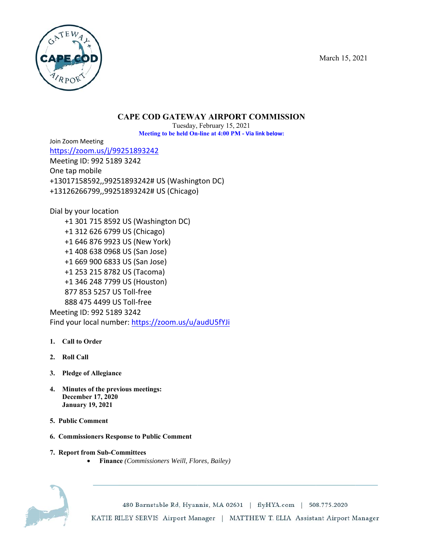March 15, 2021



# **CAPE COD GATEWAY AIRPORT COMMISSION**

Meeting to be held On-line at 4:00 PM - Via link below: Tuesday, February 15, 2 2021

Join Zoom Meeting

https://z oom.us/j/99 9251893242 Meeting ID: 992 518 9 3242 One tap mobile <u>https://zoom.us/j/99251893242</u><br>Meeting ID: 992 5189 3242<br>One tap mobile<br>+13017158592,,99251893242# US (Washington DC) +131262 66799,,9925 51893242# U US (Chicago)

Dial by your location +1 3 01 715 8592 2 US (Washin ngton DC) +1 3 12 626 6799 9 US (Chicag o) +1 6 46 876 9923 3 US (New Yo ork) +1 4 08 638 0968 8 US (San Jos se) +1 6 69 900 6833 3 US (San Jos se) +1 2 53 215 8782 2 US (Tacom a) +1 3 46 248 7799 9 US (Housto on) 877 853 5257 US S Toll-free 888 475 4499 US S Toll-free Meeting ID: 992 518 9 3242 Find your local number: <u>https://zoom.us/u/a</u> )<br>audU5fYJi<br><sup>'</sup>audU5fYJi

- 1. Call to Order
- **2. Roll C Call**
- **3. Pledg e of Allegianc e**
- **4.** Minutes of the previous meetings: **Decem mber 17, 2020 Janua ary 19, 2021**
- **5. Public Comment**
- **6. Commissioners Response to Public Comment**
- **7. Report from Sub-Committees** 
	- **Financ ce** *(Commission ners Weill, Flo ores, Bailey)*



480 Barnstable Rd, Hyannis, MA 02601 | flyHYA.com | 508.775.2020 KATIE RILEY SERVIS Airport Manager | MATTHEW T. ELIA Assistant Airport Manager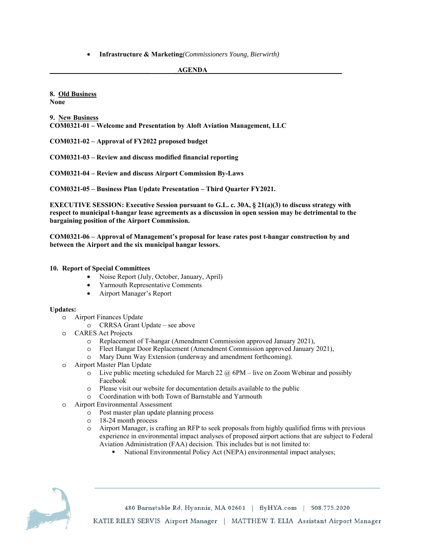• **Infrastructure & Marketing***(Commissioners Young, Bierwirth)* 

#### **AGENDA**

**8. Old Business None** 

**9. New Business COM0321-01 – Welcome and Presentation by Aloft Aviation Management, LLC** 

**COM0321-02 – Approval of FY2022 proposed budget** 

**COM0321-03 – Review and discuss modified financial reporting** 

**COM0321-04 – Review and discuss Airport Commission By-Laws** 

**COM0321-05 – Business Plan Update Presentation – Third Quarter FY2021.** 

**EXECUTIVE SESSION: Executive Session pursuant to G.L. c. 30A, § 21(a)(3) to discuss strategy with respect to municipal t-hangar lease agreements as a discussion in open session may be detrimental to the bargaining position of the Airport Commission.** 

**COM0321-06 – Approval of Management's proposal for lease rates post t-hangar construction by and between the Airport and the six municipal hangar lessors.**

#### **10. Report of Special Committees**

- Noise Report (July, October, January, April)
- Yarmouth Representative Comments
- Airport Manager's Report

#### **Updates:**

- o Airport Finances Update
	- o CRRSA Grant Update see above
- o CARES Act Projects
	- o Replacement of T-hangar (Amendment Commission approved January 2021),
	- o Fleet Hangar Door Replacement (Amendment Commission approved January 2021),
	- o Mary Dunn Way Extension (underway and amendment forthcoming).
- o Airport Master Plan Update
	- $\circ$  Live public meeting scheduled for March 22  $\omega$  6PM live on Zoom Webinar and possibly Facebook
	- o Please visit our website for documentation details available to the public
	- o Coordination with both Town of Barnstable and Yarmouth
- o Airport Environmental Assessment
	- o Post master plan update planning process
	- o 18-24 month process
	- o Airport Manager, is crafting an RFP to seek proposals from highly qualified firms with previous experience in environmental impact analyses of proposed airport actions that are subject to Federal Aviation Administration (FAA) decision. This includes but is not limited to:
		- National Environmental Policy Act (NEPA) environmental impact analyses;



480 Barnstable Rd, Hyannis, MA 02601 | flyHYA.com | 508.775.2020 KATIE RILEY SERVIS Airport Manager | MATTHEW T. ELIA Assistant Airport Manager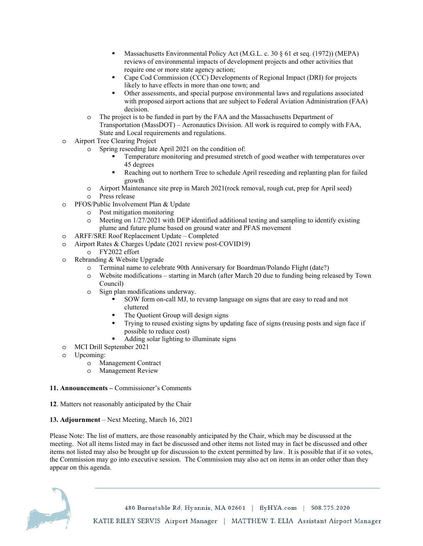- Massachusetts Environmental Policy Act (M.G.L. c. 30 § 61 et seq. (1972)) (MEPA) reviews of environmental impacts of development projects and other activities that require one or more state agency action;
- Cape Cod Commission (CCC) Developments of Regional Impact (DRI) for projects likely to have effects in more than one town; and
- Other assessments, and special purpose environmental laws and regulations associated with proposed airport actions that are subject to Federal Aviation Administration (FAA) decision.
- o The project is to be funded in part by the FAA and the Massachusetts Department of Transportation (MassDOT) – Aeronautics Division. All work is required to comply with FAA, State and Local requirements and regulations.
- o Airport Tree Clearing Project
	- Spring reseeding late April 2021 on the condition of:
		- Temperature monitoring and presumed stretch of good weather with temperatures over 45 degrees
		- Reaching out to northern Tree to schedule April reseeding and replanting plan for failed growth
	- o Airport Maintenance site prep in March 2021(rock removal, rough cut, prep for April seed) o Press release
- o PFOS/Public Involvement Plan & Update
	- o Post mitigation monitoring
	- $\circ$  Meeting on 1/27/2021 with DEP identified additional testing and sampling to identify existing plume and future plume based on ground water and PFAS movement
- o ARFF/SRE Roof Replacement Update Completed
- o Airport Rates & Charges Update (2021 review post-COVID19)
	- o FY2022 effort
- o Rebranding & Website Upgrade
	- o Terminal name to celebrate 90th Anniversary for Boardman/Polando Flight (date?)
	- o Website modifications starting in March (after March 20 due to funding being released by Town Council)
	- o Sign plan modifications underway.
		- SOW form on-call MJ, to revamp language on signs that are easy to read and not cluttered
		- The Quotient Group will design signs
		- Trying to reused existing signs by updating face of signs (reusing posts and sign face if possible to reduce cost)
		- Adding solar lighting to illuminate signs
- o MCI Drill September 2021
- o Upcoming:
	- o Management Contract
	- o Management Review

### **11. Announcements –** Commissioner's Comments

**12**. Matters not reasonably anticipated by the Chair

### **13. Adjournment** – Next Meeting, March 16, 2021

Please Note: The list of matters, are those reasonably anticipated by the Chair, which may be discussed at the meeting. Not all items listed may in fact be discussed and other items not listed may in fact be discussed and other items not listed may also be brought up for discussion to the extent permitted by law. It is possible that if it so votes, the Commission may go into executive session. The Commission may also act on items in an order other than they appear on this agenda.